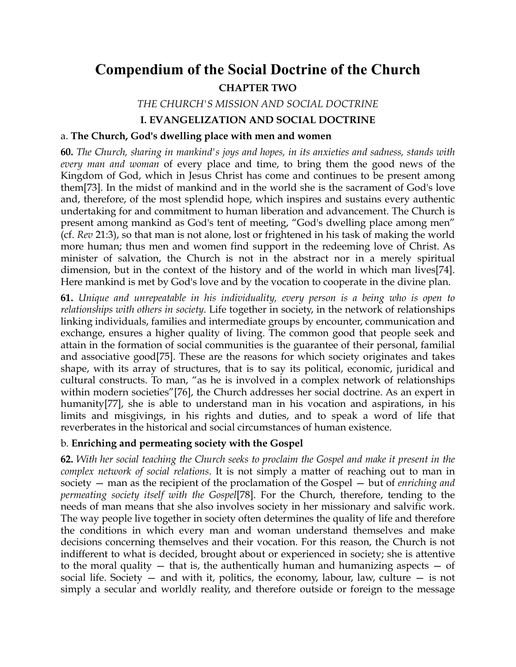# **Compendium of the Social Doctrine of the Church CHAPTER TWO**

*THE CHURCH'S MISSION AND SOCIAL DOCTRINE*

#### **I. EVANGELIZATION AND SOCIAL DOCTRINE**

#### a. **The Church, God's dwelling place with men and women**

**60.** *The Church, sharing in mankind's joys and hopes, in its anxieties and sadness, stands with every man and woman* of every place and time, to bring them the good news of the Kingdom of God, which in Jesus Christ has come and continues to be present among them[73]. In the midst of mankind and in the world she is the sacrament of God's love and, therefore, of the most splendid hope, which inspires and sustains every authentic undertaking for and commitment to human liberation and advancement. The Church is present among mankind as God's tent of meeting, "God's dwelling place among men" (cf. *Rev* 21:3), so that man is not alone, lost or frightened in his task of making the world more human; thus men and women find support in the redeeming love of Christ. As minister of salvation, the Church is not in the abstract nor in a merely spiritual dimension, but in the context of the history and of the world in which man lives[74]. Here mankind is met by God's love and by the vocation to cooperate in the divine plan.

**61.** *Unique and unrepeatable in his individuality, every person is a being who is open to relationships with others in society*. Life together in society, in the network of relationships linking individuals, families and intermediate groups by encounter, communication and exchange, ensures a higher quality of living. The common good that people seek and attain in the formation of social communities is the guarantee of their personal, familial and associative good[75]. These are the reasons for which society originates and takes shape, with its array of structures, that is to say its political, economic, juridical and cultural constructs. To man, "as he is involved in a complex network of relationships within modern societies"[76], the Church addresses her social doctrine. As an expert in humanity[77], she is able to understand man in his vocation and aspirations, in his limits and misgivings, in his rights and duties, and to speak a word of life that reverberates in the historical and social circumstances of human existence.

## b. **Enriching and permeating society with the Gospel**

**62.** *With her social teaching the Church seeks to proclaim the Gospel and make it present in the complex network of social relations*. It is not simply a matter of reaching out to man in society — man as the recipient of the proclamation of the Gospel — but of *enriching and permeating society itself with the Gospel*[78]. For the Church, therefore, tending to the needs of man means that she also involves society in her missionary and salvific work. The way people live together in society often determines the quality of life and therefore the conditions in which every man and woman understand themselves and make decisions concerning themselves and their vocation. For this reason, the Church is not indifferent to what is decided, brought about or experienced in society; she is attentive to the moral quality  $-$  that is, the authentically human and humanizing aspects  $-$  of social life. Society  $-$  and with it, politics, the economy, labour, law, culture  $-$  is not simply a secular and worldly reality, and therefore outside or foreign to the message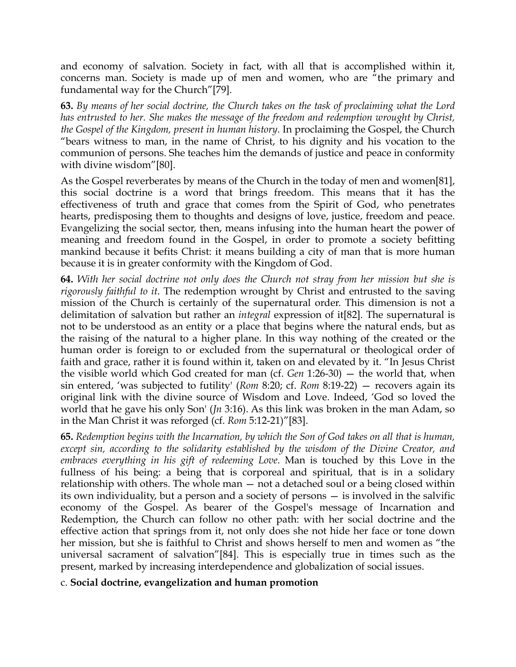and economy of salvation. Society in fact, with all that is accomplished within it, concerns man. Society is made up of men and women, who are "the primary and fundamental way for the Church"[79].

**63.** *By means of her social doctrine, the Church takes on the task of proclaiming what the Lord has entrusted to her. She makes the message of the freedom and redemption wrought by Christ, the Gospel of the Kingdom, present in human history*. In proclaiming the Gospel, the Church "bears witness to man, in the name of Christ, to his dignity and his vocation to the communion of persons. She teaches him the demands of justice and peace in conformity with divine wisdom"[80].

As the Gospel reverberates by means of the Church in the today of men and women[81], this social doctrine is a word that brings freedom. This means that it has the effectiveness of truth and grace that comes from the Spirit of God, who penetrates hearts, predisposing them to thoughts and designs of love, justice, freedom and peace. Evangelizing the social sector, then, means infusing into the human heart the power of meaning and freedom found in the Gospel, in order to promote a society befitting mankind because it befits Christ: it means building a city of man that is more human because it is in greater conformity with the Kingdom of God.

**64.** *With her social doctrine not only does the Church not stray from her mission but she is rigorously faithful to it*. The redemption wrought by Christ and entrusted to the saving mission of the Church is certainly of the supernatural order. This dimension is not a delimitation of salvation but rather an *integral* expression of it[82]. The supernatural is not to be understood as an entity or a place that begins where the natural ends, but as the raising of the natural to a higher plane. In this way nothing of the created or the human order is foreign to or excluded from the supernatural or theological order of faith and grace, rather it is found within it, taken on and elevated by it. "In Jesus Christ the visible world which God created for man (cf. *Gen* 1:26-30) — the world that, when sin entered, 'was subjected to futility' (*Rom* 8:20; cf. *Rom* 8:19-22) — recovers again its original link with the divine source of Wisdom and Love. Indeed, 'God so loved the world that he gave his only Son' (*Jn* 3:16). As this link was broken in the man Adam, so in the Man Christ it was reforged (cf. *Rom* 5:12-21)"[83].

**65.** *Redemption begins with the Incarnation, by which the Son of God takes on all that is human, except sin, according to the solidarity established by the wisdom of the Divine Creator, and embraces everything in his gift of redeeming Love*. Man is touched by this Love in the fullness of his being: a being that is corporeal and spiritual, that is in a solidary relationship with others. The whole man — not a detached soul or a being closed within its own individuality, but a person and a society of persons — is involved in the salvific economy of the Gospel. As bearer of the Gospel's message of Incarnation and Redemption, the Church can follow no other path: with her social doctrine and the effective action that springs from it, not only does she not hide her face or tone down her mission, but she is faithful to Christ and shows herself to men and women as "the universal sacrament of salvation"[84]. This is especially true in times such as the present, marked by increasing interdependence and globalization of social issues.

#### c. **Social doctrine, evangelization and human promotion**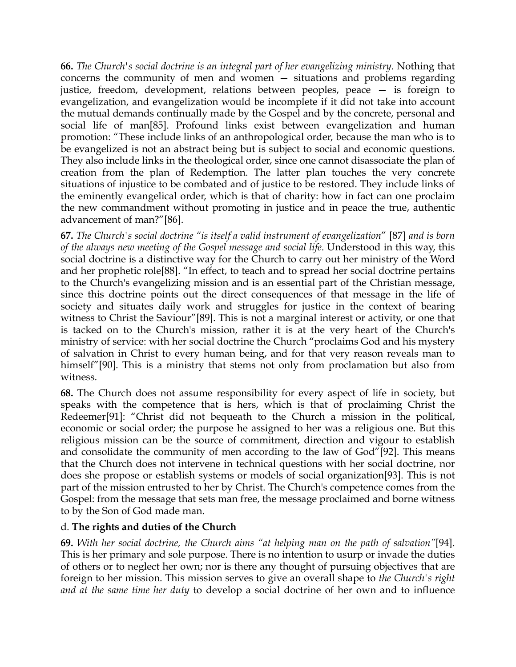**66.** *The Church's social doctrine is an integral part of her evangelizing ministry*. Nothing that concerns the community of men and women — situations and problems regarding justice, freedom, development, relations between peoples, peace — is foreign to evangelization, and evangelization would be incomplete if it did not take into account the mutual demands continually made by the Gospel and by the concrete, personal and social life of man[85]. Profound links exist between evangelization and human promotion: "These include links of an anthropological order, because the man who is to be evangelized is not an abstract being but is subject to social and economic questions. They also include links in the theological order, since one cannot disassociate the plan of creation from the plan of Redemption. The latter plan touches the very concrete situations of injustice to be combated and of justice to be restored. They include links of the eminently evangelical order, which is that of charity: how in fact can one proclaim the new commandment without promoting in justice and in peace the true, authentic advancement of man?"[86].

**67.** *The Church's social doctrine "is itself a valid instrument of evangelization*" [87] *and is born of the always new meeting of the Gospel message and social life*. Understood in this way, this social doctrine is a distinctive way for the Church to carry out her ministry of the Word and her prophetic role[88]. "In effect, to teach and to spread her social doctrine pertains to the Church's evangelizing mission and is an essential part of the Christian message, since this doctrine points out the direct consequences of that message in the life of society and situates daily work and struggles for justice in the context of bearing witness to Christ the Saviour"[89]. This is not a marginal interest or activity, or one that is tacked on to the Church's mission, rather it is at the very heart of the Church's ministry of service: with her social doctrine the Church "proclaims God and his mystery of salvation in Christ to every human being, and for that very reason reveals man to himself"[90]. This is a ministry that stems not only from proclamation but also from witness.

**68.** The Church does not assume responsibility for every aspect of life in society, but speaks with the competence that is hers, which is that of proclaiming Christ the Redeemer[91]: "Christ did not bequeath to the Church a mission in the political, economic or social order; the purpose he assigned to her was a religious one. But this religious mission can be the source of commitment, direction and vigour to establish and consolidate the community of men according to the law of God"[92]. This means that the Church does not intervene in technical questions with her social doctrine, nor does she propose or establish systems or models of social organization[93]. This is not part of the mission entrusted to her by Christ. The Church's competence comes from the Gospel: from the message that sets man free, the message proclaimed and borne witness to by the Son of God made man.

## d. **The rights and duties of the Church**

**69.** *With her social doctrine, the Church aims "at helping man on the path of salvation"*[94]. This is her primary and sole purpose. There is no intention to usurp or invade the duties of others or to neglect her own; nor is there any thought of pursuing objectives that are foreign to her mission. This mission serves to give an overall shape to *the Church's right and at the same time her duty* to develop a social doctrine of her own and to influence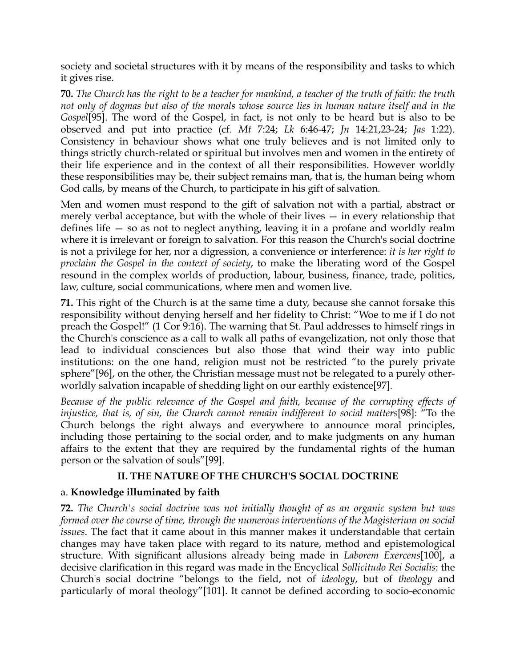society and societal structures with it by means of the responsibility and tasks to which it gives rise.

**70.** *The Church has the right to be a teacher for mankind, a teacher of the truth of faith: the truth not only of dogmas but also of the morals whose source lies in human nature itself and in the Gospel*[95]. The word of the Gospel, in fact, is not only to be heard but is also to be observed and put into practice (cf. *Mt* 7:24; *Lk* 6:46-47; *Jn* 14:21,23-24; *Jas* 1:22). Consistency in behaviour shows what one truly believes and is not limited only to things strictly church-related or spiritual but involves men and women in the entirety of their life experience and in the context of all their responsibilities. However worldly these responsibilities may be, their subject remains man, that is, the human being whom God calls, by means of the Church, to participate in his gift of salvation.

Men and women must respond to the gift of salvation not with a partial, abstract or merely verbal acceptance, but with the whole of their lives — in every relationship that defines life — so as not to neglect anything, leaving it in a profane and worldly realm where it is irrelevant or foreign to salvation. For this reason the Church's social doctrine is not a privilege for her, nor a digression, a convenience or interference: *it is her right to proclaim the Gospel in the context of society*, to make the liberating word of the Gospel resound in the complex worlds of production, labour, business, finance, trade, politics, law, culture, social communications, where men and women live.

**71.** This right of the Church is at the same time a duty, because she cannot forsake this responsibility without denying herself and her fidelity to Christ: "Woe to me if I do not preach the Gospel!" (1 Cor 9:16). The warning that St. Paul addresses to himself rings in the Church's conscience as a call to walk all paths of evangelization, not only those that lead to individual consciences but also those that wind their way into public institutions: on the one hand, religion must not be restricted "to the purely private sphere"[96], on the other, the Christian message must not be relegated to a purely otherworldly salvation incapable of shedding light on our earthly existence[97].

*Because of the public relevance of the Gospel and faith, because of the corrupting effects of injustice, that is, of sin, the Church cannot remain indifferent to social matters*[98]: "To the Church belongs the right always and everywhere to announce moral principles, including those pertaining to the social order, and to make judgments on any human affairs to the extent that they are required by the fundamental rights of the human person or the salvation of souls"[99].

## **II. THE NATURE OF THE CHURCH'S SOCIAL DOCTRINE**

## a. **Knowledge illuminated by faith**

**72.** *The Church's social doctrine was not initially thought of as an organic system but was formed over the course of time, through the numerous interventions of the Magisterium on social issues*. The fact that it came about in this manner makes it understandable that certain changes may have taken place with regard to its nature, method and epistemological structure. With significant allusions already being made in *[Laborem Exercens](https://www.vatican.va/edocs/ENG0217/_INDEX.HTM)*[100], a decisive clarification in this regard was made in the Encyclical *[Sollicitudo Rei Socialis](https://www.vatican.va/edocs/ENG0223/_INDEX.HTM)*: the Church's social doctrine "belongs to the field, not of *ideology*, but of *theology* and particularly of moral theology"[101]. It cannot be defined according to socio-economic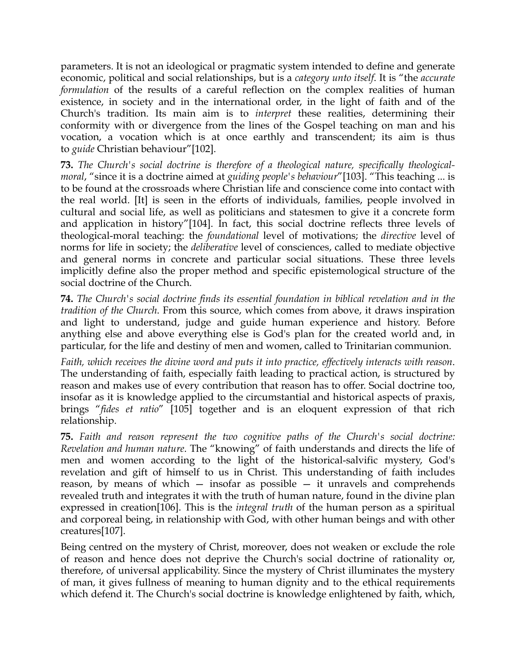parameters. It is not an ideological or pragmatic system intended to define and generate economic, political and social relationships, but is a *category unto itself*. It is "the *accurate formulation* of the results of a careful reflection on the complex realities of human existence, in society and in the international order, in the light of faith and of the Church's tradition. Its main aim is to *interpret* these realities, determining their conformity with or divergence from the lines of the Gospel teaching on man and his vocation, a vocation which is at once earthly and transcendent; its aim is thus to *guide* Christian behaviour"[102].

**73.** *The Church's social doctrine is therefore of a theological nature, specifically theologicalmoral*, "since it is a doctrine aimed at *guiding people's behaviour*"[103]. "This teaching ... is to be found at the crossroads where Christian life and conscience come into contact with the real world. [It] is seen in the efforts of individuals, families, people involved in cultural and social life, as well as politicians and statesmen to give it a concrete form and application in history"[104]. In fact, this social doctrine reflects three levels of theological-moral teaching: the *foundational* level of motivations; the *directive* level of norms for life in society; the *deliberative* level of consciences, called to mediate objective and general norms in concrete and particular social situations. These three levels implicitly define also the proper method and specific epistemological structure of the social doctrine of the Church.

**74.** *The Church's social doctrine finds its essential foundation in biblical revelation and in the tradition of the Church*. From this source, which comes from above, it draws inspiration and light to understand, judge and guide human experience and history. Before anything else and above everything else is God's plan for the created world and, in particular, for the life and destiny of men and women, called to Trinitarian communion.

*Faith, which receives the divine word and puts it into practice, effectively interacts with reason*. The understanding of faith, especially faith leading to practical action, is structured by reason and makes use of every contribution that reason has to offer. Social doctrine too, insofar as it is knowledge applied to the circumstantial and historical aspects of praxis, brings "*fides et ratio*" [105] together and is an eloquent expression of that rich relationship.

**75.** *Faith and reason represent the two cognitive paths of the Church's social doctrine: Revelation and human nature*. The "knowing" of faith understands and directs the life of men and women according to the light of the historical-salvific mystery, God's revelation and gift of himself to us in Christ. This understanding of faith includes reason, by means of which — insofar as possible — it unravels and comprehends revealed truth and integrates it with the truth of human nature, found in the divine plan expressed in creation[106]. This is the *integral truth* of the human person as a spiritual and corporeal being, in relationship with God, with other human beings and with other creatures[107].

Being centred on the mystery of Christ, moreover, does not weaken or exclude the role of reason and hence does not deprive the Church's social doctrine of rationality or, therefore, of universal applicability. Since the mystery of Christ illuminates the mystery of man, it gives fullness of meaning to human dignity and to the ethical requirements which defend it. The Church's social doctrine is knowledge enlightened by faith, which,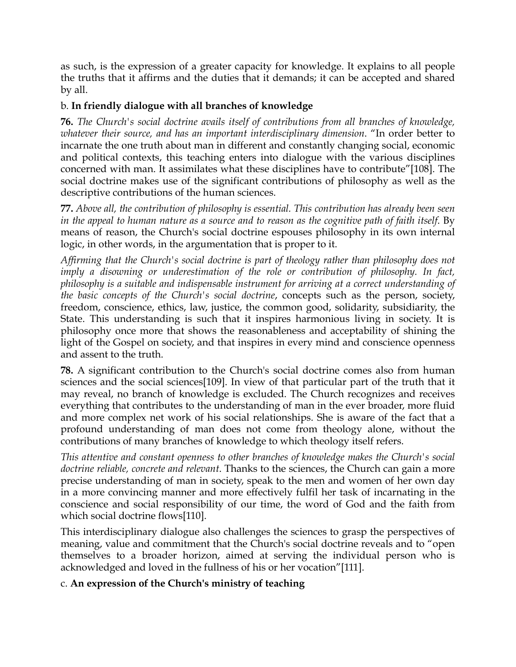as such, is the expression of a greater capacity for knowledge. It explains to all people the truths that it affirms and the duties that it demands; it can be accepted and shared by all.

## b. **In friendly dialogue with all branches of knowledge**

**76.** *The Church's social doctrine avails itself of contributions from all branches of knowledge, whatever their source, and has an important interdisciplinary dimension*. "In order better to incarnate the one truth about man in different and constantly changing social, economic and political contexts, this teaching enters into dialogue with the various disciplines concerned with man. It assimilates what these disciplines have to contribute"[108]. The social doctrine makes use of the significant contributions of philosophy as well as the descriptive contributions of the human sciences.

**77.** *Above all, the contribution of philosophy is essential. This contribution has already been seen in the appeal to human nature as a source and to reason as the cognitive path of faith itself*. By means of reason, the Church's social doctrine espouses philosophy in its own internal logic, in other words, in the argumentation that is proper to it.

*Affirming that the Church's social doctrine is part of theology rather than philosophy does not imply a disowning or underestimation of the role or contribution of philosophy. In fact, philosophy is a suitable and indispensable instrument for arriving at a correct understanding of the basic concepts of the Church's social doctrine*, concepts such as the person, society, freedom, conscience, ethics, law, justice, the common good, solidarity, subsidiarity, the State. This understanding is such that it inspires harmonious living in society. It is philosophy once more that shows the reasonableness and acceptability of shining the light of the Gospel on society, and that inspires in every mind and conscience openness and assent to the truth.

**78.** A significant contribution to the Church's social doctrine comes also from human sciences and the social sciences[109]. In view of that particular part of the truth that it may reveal, no branch of knowledge is excluded. The Church recognizes and receives everything that contributes to the understanding of man in the ever broader, more fluid and more complex net work of his social relationships. She is aware of the fact that a profound understanding of man does not come from theology alone, without the contributions of many branches of knowledge to which theology itself refers.

*This attentive and constant openness to other branches of knowledge makes the Church's social doctrine reliable, concrete and relevant*. Thanks to the sciences, the Church can gain a more precise understanding of man in society, speak to the men and women of her own day in a more convincing manner and more effectively fulfil her task of incarnating in the conscience and social responsibility of our time, the word of God and the faith from which social doctrine flows[110].

This interdisciplinary dialogue also challenges the sciences to grasp the perspectives of meaning, value and commitment that the Church's social doctrine reveals and to "open themselves to a broader horizon, aimed at serving the individual person who is acknowledged and loved in the fullness of his or her vocation"[111].

## c. **An expression of the Church's ministry of teaching**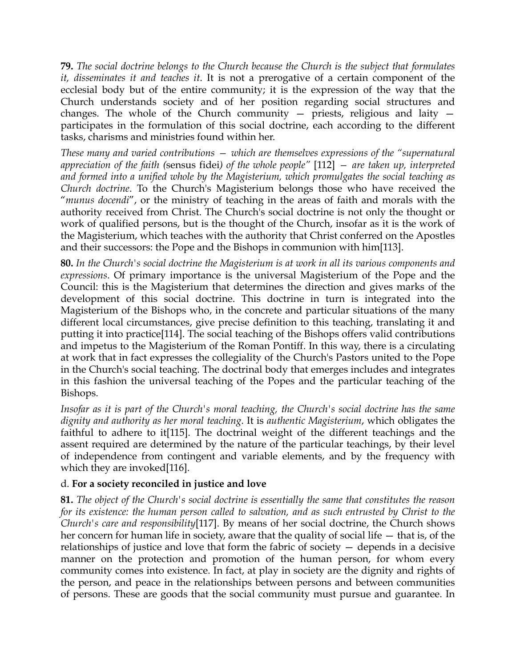**79.** *The social doctrine belongs to the Church because the Church is the subject that formulates it, disseminates it and teaches it*. It is not a prerogative of a certain component of the ecclesial body but of the entire community; it is the expression of the way that the Church understands society and of her position regarding social structures and changes. The whole of the Church community  $-$  priests, religious and laity  $$ participates in the formulation of this social doctrine, each according to the different tasks, charisms and ministries found within her.

*These many and varied contributions — which are themselves expressions of the "supernatural appreciation of the faith (*sensus fidei*) of the whole people"* [112] *— are taken up, interpreted and formed into a unified whole by the Magisterium, which promulgates the social teaching as Church doctrine*. To the Church's Magisterium belongs those who have received the "*munus docendi*", or the ministry of teaching in the areas of faith and morals with the authority received from Christ. The Church's social doctrine is not only the thought or work of qualified persons, but is the thought of the Church, insofar as it is the work of the Magisterium, which teaches with the authority that Christ conferred on the Apostles and their successors: the Pope and the Bishops in communion with him[113].

**80.** *In the Church's social doctrine the Magisterium is at work in all its various components and expressions*. Of primary importance is the universal Magisterium of the Pope and the Council: this is the Magisterium that determines the direction and gives marks of the development of this social doctrine. This doctrine in turn is integrated into the Magisterium of the Bishops who, in the concrete and particular situations of the many different local circumstances, give precise definition to this teaching, translating it and putting it into practice[114]. The social teaching of the Bishops offers valid contributions and impetus to the Magisterium of the Roman Pontiff. In this way, there is a circulating at work that in fact expresses the collegiality of the Church's Pastors united to the Pope in the Church's social teaching. The doctrinal body that emerges includes and integrates in this fashion the universal teaching of the Popes and the particular teaching of the Bishops.

*Insofar as it is part of the Church's moral teaching, the Church's social doctrine has the same dignity and authority as her moral teaching*. It is *authentic Magisterium*, which obligates the faithful to adhere to it[115]. The doctrinal weight of the different teachings and the assent required are determined by the nature of the particular teachings, by their level of independence from contingent and variable elements, and by the frequency with which they are invoked[116].

## d. **For a society reconciled in justice and love**

**81.** *The object of the Church's social doctrine is essentially the same that constitutes the reason for its existence: the human person called to salvation, and as such entrusted by Christ to the Church's care and responsibility*[117]. By means of her social doctrine, the Church shows her concern for human life in society, aware that the quality of social life — that is, of the relationships of justice and love that form the fabric of society  $-$  depends in a decisive manner on the protection and promotion of the human person, for whom every community comes into existence. In fact, at play in society are the dignity and rights of the person, and peace in the relationships between persons and between communities of persons. These are goods that the social community must pursue and guarantee. In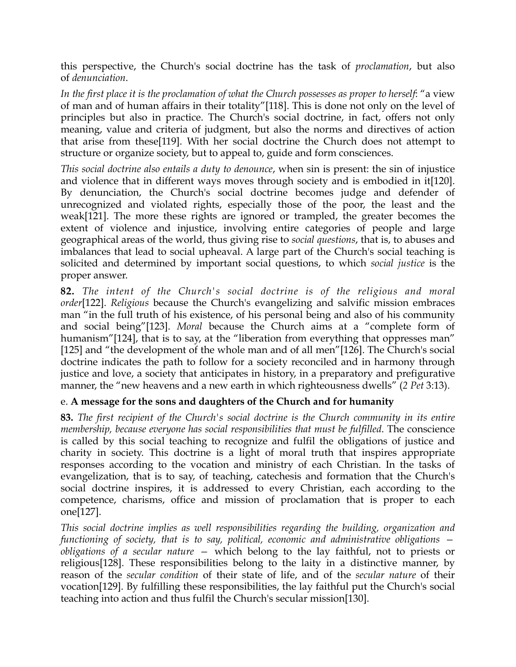this perspective, the Church's social doctrine has the task of *proclamation*, but also of *denunciation*.

*In the first place it is the proclamation of what the Church possesses as proper to herself*: "a view of man and of human affairs in their totality"[118]. This is done not only on the level of principles but also in practice. The Church's social doctrine, in fact, offers not only meaning, value and criteria of judgment, but also the norms and directives of action that arise from these[119]. With her social doctrine the Church does not attempt to structure or organize society, but to appeal to, guide and form consciences.

*This social doctrine also entails a duty to denounce*, when sin is present: the sin of injustice and violence that in different ways moves through society and is embodied in it[120]. By denunciation, the Church's social doctrine becomes judge and defender of unrecognized and violated rights, especially those of the poor, the least and the weak[121]. The more these rights are ignored or trampled, the greater becomes the extent of violence and injustice, involving entire categories of people and large geographical areas of the world, thus giving rise to *social questions*, that is, to abuses and imbalances that lead to social upheaval. A large part of the Church's social teaching is solicited and determined by important social questions, to which *social justice* is the proper answer.

**82.** *The intent of the Church's social doctrine is of the religious and moral order*[122]. *Religious* because the Church's evangelizing and salvific mission embraces man "in the full truth of his existence, of his personal being and also of his community and social being"[123]. *Moral* because the Church aims at a "complete form of humanism"[124], that is to say, at the "liberation from everything that oppresses man" [125] and "the development of the whole man and of all men"[126]. The Church's social doctrine indicates the path to follow for a society reconciled and in harmony through justice and love, a society that anticipates in history, in a preparatory and prefigurative manner, the "new heavens and a new earth in which righteousness dwells" (*2 Pet* 3:13).

## e. **A message for the sons and daughters of the Church and for humanity**

**83.** *The first recipient of the Church's social doctrine is the Church community in its entire membership, because everyone has social responsibilities that must be fulfilled*. The conscience is called by this social teaching to recognize and fulfil the obligations of justice and charity in society. This doctrine is a light of moral truth that inspires appropriate responses according to the vocation and ministry of each Christian. In the tasks of evangelization, that is to say, of teaching, catechesis and formation that the Church's social doctrine inspires, it is addressed to every Christian, each according to the competence, charisms, office and mission of proclamation that is proper to each one[127].

*This social doctrine implies as well responsibilities regarding the building, organization and functioning of society, that is to say, political, economic and administrative obligations obligations of a secular nature —* which belong to the lay faithful, not to priests or religious[128]. These responsibilities belong to the laity in a distinctive manner, by reason of the *secular condition* of their state of life, and of the *secular nature* of their vocation[129]. By fulfilling these responsibilities, the lay faithful put the Church's social teaching into action and thus fulfil the Church's secular mission[130].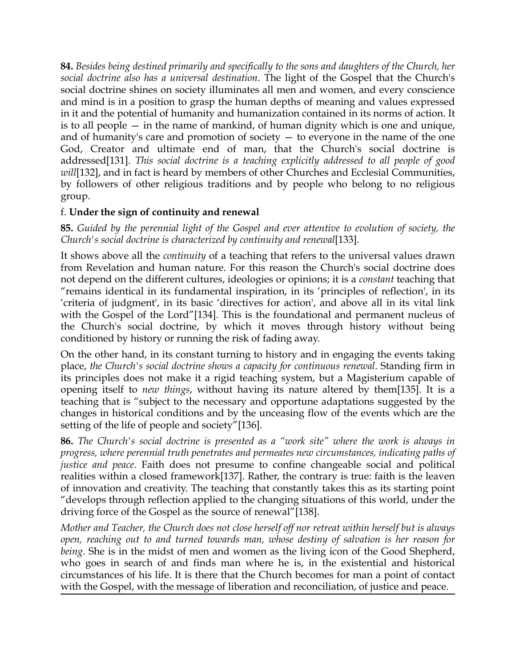**84.** *Besides being destined primarily and specifically to the sons and daughters of the Church, her social doctrine also has a universal destination*. The light of the Gospel that the Church's social doctrine shines on society illuminates all men and women, and every conscience and mind is in a position to grasp the human depths of meaning and values expressed in it and the potential of humanity and humanization contained in its norms of action. It is to all people — in the name of mankind, of human dignity which is one and unique, and of humanity's care and promotion of society  $-$  to everyone in the name of the one God, Creator and ultimate end of man, that the Church's social doctrine is addressed[131]. *This social doctrine is a teaching explicitly addressed to all people of good will*[132], and in fact is heard by members of other Churches and Ecclesial Communities, by followers of other religious traditions and by people who belong to no religious group.

## f. **Under the sign of continuity and renewal**

**85.** *Guided by the perennial light of the Gospel and ever attentive to evolution of society, the Church's social doctrine is characterized by continuity and renewal*[133].

It shows above all the *continuity* of a teaching that refers to the universal values drawn from Revelation and human nature. For this reason the Church's social doctrine does not depend on the different cultures, ideologies or opinions; it is a *constant* teaching that "remains identical in its fundamental inspiration, in its 'principles of reflection', in its 'criteria of judgment', in its basic 'directives for action', and above all in its vital link with the Gospel of the Lord"[134]. This is the foundational and permanent nucleus of the Church's social doctrine, by which it moves through history without being conditioned by history or running the risk of fading away.

On the other hand, in its constant turning to history and in engaging the events taking place, *the Church's social doctrine shows a capacity for continuous renewal*. Standing firm in its principles does not make it a rigid teaching system, but a Magisterium capable of opening itself to *new things*, without having its nature altered by them[135]. It is a teaching that is "subject to the necessary and opportune adaptations suggested by the changes in historical conditions and by the unceasing flow of the events which are the setting of the life of people and society"[136].

**86.** *The Church's social doctrine is presented as a "work site" where the work is always in progress, where perennial truth penetrates and permeates new circumstances, indicating paths of justice and peace*. Faith does not presume to confine changeable social and political realities within a closed framework[137]. Rather, the contrary is true: faith is the leaven of innovation and creativity. The teaching that constantly takes this as its starting point "develops through reflection applied to the changing situations of this world, under the driving force of the Gospel as the source of renewal"[138].

*Mother and Teacher, the Church does not close herself off nor retreat within herself but is always open, reaching out to and turned towards man, whose destiny of salvation is her reason for being*. She is in the midst of men and women as the living icon of the Good Shepherd, who goes in search of and finds man where he is, in the existential and historical circumstances of his life. It is there that the Church becomes for man a point of contact with the Gospel, with the message of liberation and reconciliation, of justice and peace.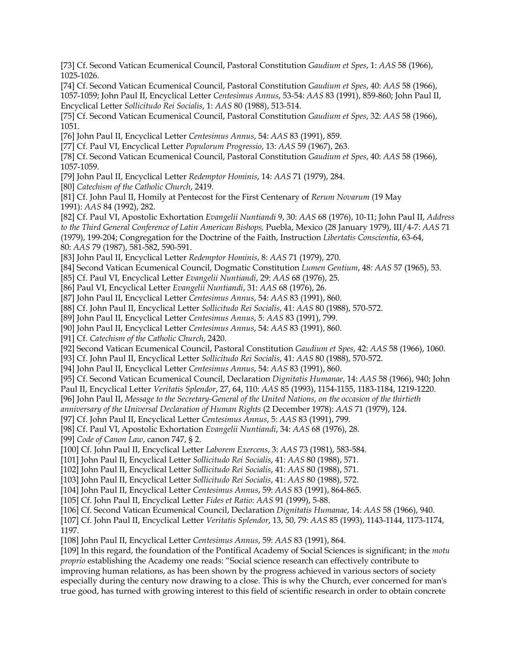[73] Cf. Second Vatican Ecumenical Council, Pastoral Constitution *Gaudium et Spes*, 1: *AAS* 58 (1966), 1025-1026.

[74] Cf. Second Vatican Ecumenical Council, Pastoral Constitution *Gaudium et Spes*, 40: *AAS* 58 (1966), 1057-1059; John Paul II, Encyclical Letter *Centesimus Annus*, 53-54: *AAS* 83 (1991), 859-860; John Paul II, Encyclical Letter *Sollicitudo Rei Socialis*, 1: *AAS* 80 (1988), 513-514.

[75] Cf. Second Vatican Ecumenical Council, Pastoral Constitution *Gaudium et Spes*, 32: *AAS* 58 (1966), 1051.

[76] John Paul II, Encyclical Letter *Centesimus Annus*, 54: *AAS* 83 (1991), 859.

[77] Cf. Paul VI, Encyclical Letter *Populorum Progressio*, 13: *AAS* 59 (1967), 263.

[78] Cf. Second Vatican Ecumenical Council, Pastoral Constitution *Gaudium et Spes*, 40: *AAS* 58 (1966), 1057-1059.

[79] John Paul II, Encyclical Letter *Redemptor Hominis*, 14: *AAS* 71 (1979), 284.

[80] *Catechism of the Catholic Church*, 2419.

[81] Cf. John Paul II, Homily at Pentecost for the First Centenary of *Rerum Novarum* (19 May 1991): *AAS* 84 (1992), 282.

[82] Cf. Paul VI, Apostolic Exhortation *Evangelii Nuntiandi* 9, 30: *AAS* 68 (1976), 10-11; John Paul II, *Address to the Third General Conference of Latin American Bishops,* Puebla, Mexico (28 January 1979), III/4-7: *AAS* 71 (1979), 199-204; Congregation for the Doctrine of the Faith, Instruction *Libertatis Conscientia*, 63-64,

80: *AAS* 79 (1987), 581-582, 590-591.

[83] John Paul II, Encyclical Letter *Redemptor Hominis*, 8: *AAS* 71 (1979), 270.

[84] Second Vatican Ecumenical Council, Dogmatic Constitution *Lumen Gentium*, 48: *AAS* 57 (1965), 53.

[85] Cf. Paul VI, Encyclical Letter *Evangelii Nuntiandi*, 29: *AAS* 68 (1976), 25.

[86] Paul VI, Encyclical Letter *Evangelii Nuntiandi*, 31: *AAS* 68 (1976), 26.

[87] John Paul II, Encyclical Letter *Centesimus Annus*, 54: *AAS* 83 (1991), 860.

[88] Cf. John Paul II, Encyclical Letter *Sollicitudo Rei Socialis*, 41: *AAS* 80 (1988), 570-572.

[89] John Paul II, Encyclical Letter *Centesimus Annus*, 5: *AAS* 83 (1991), 799.

[90] John Paul II, Encyclical Letter *Centesimus Annus*, 54: *AAS* 83 (1991), 860.

[91] Cf. *Catechism of the Catholic Church*, 2420.

[92] Second Vatican Ecumenical Council, Pastoral Constitution *Gaudium et Spes*, 42: *AAS* 58 (1966), 1060.

[93] Cf. John Paul II, Encyclical Letter *Sollicitudo Rei Socialis*, 41: *AAS* 80 (1988), 570-572.

[94] John Paul II, Encyclical Letter *Centesimus Annus*, 54: *AAS* 83 (1991), 860.

[95] Cf. Second Vatican Ecumenical Council, Declaration *Dignitatis Humanae*, 14: *AAS* 58 (1966), 940; John

Paul II, Encyclical Letter *Veritatis Splendor*, 27, 64, 110: *AAS* 85 (1993), 1154-1155, 1183-1184, 1219-1220.

[96] John Paul II, *Message to the Secretary-General of the United Nations, on the occasion of the thirtieth* 

*anniversary of the Universal Declaration of Human Rights* (2 December 1978): *AAS* 71 (1979), 124.

[97] Cf. John Paul II, Encyclical Letter *Centesimus Annus*, 5: *AAS* 83 (1991), 799.

[98] Cf. Paul VI, Apostolic Exhortation *Evangelii Nuntiandi*, 34: *AAS* 68 (1976), 28.

[99] *Code of Canon Law*, canon 747, § 2.

[100] Cf. John Paul II, Encyclical Letter *Laborem Exercens*, 3: *AAS* 73 (1981), 583-584.

[101] John Paul II, Encyclical Letter *Sollicitudo Rei Socialis*, 41: *AAS* 80 (1988), 571.

[102] John Paul II, Encyclical Letter *Sollicitudo Rei Socialis*, 41: *AAS* 80 (1988), 571.

[103] John Paul II, Encyclical Letter *Sollicitudo Rei Socialis*, 41: *AAS* 80 (1988), 572.

[104] John Paul II, Encyclical Letter *Centesimus Annus*, 59: *AAS* 83 (1991), 864-865.

[105] Cf. John Paul II, Encyclical Letter *Fides et Ratio*: *AAS* 91 (1999), 5-88.

[106] Cf. Second Vatican Ecumenical Council, Declaration *Dignitatis Humanae*, 14: *AAS* 58 (1966), 940.

[107] Cf. John Paul II, Encyclical Letter *Veritatis Splendor*, 13, 50, 79: *AAS* 85 (1993), 1143-1144, 1173-1174, 1197.

[108] John Paul II, Encyclical Letter *Centesimus Annus*, 59: *AAS* 83 (1991), 864.

[109] In this regard, the foundation of the Pontifical Academy of Social Sciences is significant; in the *motu proprio* establishing the Academy one reads: "Social science research can effectively contribute to improving human relations, as has been shown by the progress achieved in various sectors of society especially during the century now drawing to a close. This is why the Church, ever concerned for man's true good, has turned with growing interest to this field of scientific research in order to obtain concrete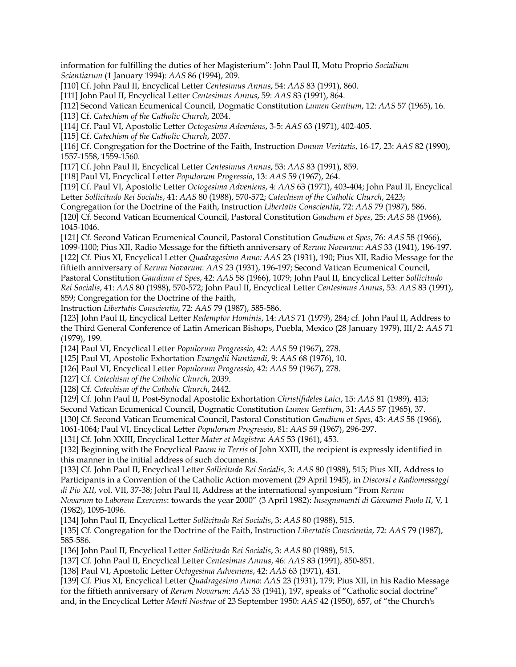information for fulfilling the duties of her Magisterium": John Paul II, Motu Proprio *Socialium Scientiarum* (1 January 1994): *AAS* 86 (1994), 209.

[110] Cf. John Paul II, Encyclical Letter *Centesimus Annus*, 54: *AAS* 83 (1991), 860.

[111] John Paul II, Encyclical Letter *Centesimus Annus*, 59: *AAS* 83 (1991), 864.

[112] Second Vatican Ecumenical Council, Dogmatic Constitution *Lumen Gentium*, 12: *AAS* 57 (1965), 16.

[113] Cf. *Catechism of the Catholic Church*, 2034.

[114] Cf. Paul VI, Apostolic Letter *Octogesima Adveniens*, 3-5: *AAS* 63 (1971), 402-405.

[115] Cf. *Catechism of the Catholic Church*, 2037.

[116] Cf. Congregation for the Doctrine of the Faith, Instruction *Donum Veritatis*, 16-17, 23: *AAS* 82 (1990), 1557-1558, 1559-1560.

[117] Cf. John Paul II, Encyclical Letter *Centesimus Annus*, 53: *AAS* 83 (1991), 859.

[118] Paul VI, Encyclical Letter *Populorum Progressio*, 13: *AAS* 59 (1967), 264.

[119] Cf. Paul VI, Apostolic Letter *Octogesima Adveniens*, 4: *AAS* 63 (1971), 403-404; John Paul II, Encyclical Letter *Sollicitudo Rei Socialis*, 41: *AAS* 80 (1988), 570-572; *Catechism of the Catholic Church*, 2423;

Congregation for the Doctrine of the Faith, Instruction *Libertatis Conscientia*, 72: *AAS* 79 (1987), 586.

[120] Cf. Second Vatican Ecumenical Council, Pastoral Constitution *Gaudium et Spes*, 25: *AAS* 58 (1966), 1045-1046.

[121] Cf. Second Vatican Ecumenical Council, Pastoral Constitution *Gaudium et Spes*, 76: *AAS* 58 (1966), 1099-1100; Pius XII, Radio Message for the fiftieth anniversary of *Rerum Novarum*: *AAS* 33 (1941), 196-197.

[122] Cf. Pius XI, Encyclical Letter *Quadragesimo Anno: AAS* 23 (1931), 190; Pius XII, Radio Message for the fiftieth anniversary of *Rerum Novarum*: *AAS* 23 (1931), 196-197; Second Vatican Ecumenical Council, Pastoral Constitution *Gaudium et Spes*, 42: *AAS* 58 (1966), 1079; John Paul II, Encyclical Letter *Sollicitudo Rei Socialis*, 41: *AAS* 80 (1988), 570-572; John Paul II, Encyclical Letter *Centesimus Annus*, 53: *AAS* 83 (1991), 859; Congregation for the Doctrine of the Faith,

Instruction *Libertatis Conscientia*, 72: *AAS* 79 (1987), 585-586.

[123] John Paul II, Encyclical Letter *Redemptor Hominis*, 14: *AAS* 71 (1979), 284; cf. John Paul II, Address to the Third General Conference of Latin American Bishops, Puebla, Mexico (28 January 1979), III/2: *AAS* 71 (1979), 199.

[124] Paul VI, Encyclical Letter *Populorum Progressio*, 42: *AAS* 59 (1967), 278.

[125] Paul VI, Apostolic Exhortation *Evangelii Nuntiandi*, 9: *AAS* 68 (1976), 10.

[126] Paul VI, Encyclical Letter *Populorum Progressio*, 42: *AAS* 59 (1967), 278.

[127] Cf. *Catechism of the Catholic Church*, 2039.

[128] Cf. *Catechism of the Catholic Church*, 2442.

[129] Cf. John Paul II, Post-Synodal Apostolic Exhortation *Christifideles Laici*, 15: *AAS* 81 (1989), 413;

Second Vatican Ecumenical Council, Dogmatic Constitution *Lumen Gentium*, 31: *AAS* 57 (1965), 37.

[130] Cf. Second Vatican Ecumenical Council, Pastoral Constitution *Gaudium et Spes*, 43: *AAS* 58 (1966),

1061-1064; Paul VI, Encyclical Letter *Populorum Progressio*, 81: *AAS* 59 (1967), 296-297.

[131] Cf. John XXIII, Encyclical Letter *Mater et Magistra*: *AAS* 53 (1961), 453.

[132] Beginning with the Encyclical *Pacem in Terris* of John XXIII, the recipient is expressly identified in this manner in the initial address of such documents.

[133] Cf. John Paul II, Encyclical Letter *Sollicitudo Rei Socialis*, 3: *AAS* 80 (1988), 515; Pius XII, Address to Participants in a Convention of the Catholic Action movement (29 April 1945), in *Discorsi e Radiomessaggi di Pio XII*, vol. VII, 37-38; John Paul II, Address at the international symposium "From *Rerum* 

*Novarum* to *Laborem Exercens*: towards the year 2000" (3 April 1982): *Insegnamenti di Giovanni Paolo II*, V, 1 (1982), 1095-1096.

[134] John Paul II, Encyclical Letter *Sollicitudo Rei Socialis*, 3: *AAS* 80 (1988), 515.

[135] Cf. Congregation for the Doctrine of the Faith, Instruction *Libertatis Conscientia*, 72: *AAS* 79 (1987), 585-586.

[136] John Paul II, Encyclical Letter *Sollicitudo Rei Socialis*, 3: *AAS* 80 (1988), 515.

[137] Cf. John Paul II, Encyclical Letter *Centesimus Annus*, 46: *AAS* 83 (1991), 850-851.

[138] Paul VI, Apostolic Letter *Octogesima Adveniens*, 42: *AAS* 63 (1971), 431.

[139] Cf. Pius XI, Encyclical Letter *Quadragesimo Anno*: *AAS* 23 (1931), 179; Pius XII, in his Radio Message for the fiftieth anniversary of *Rerum Novarum*: *AAS* 33 (1941), 197, speaks of "Catholic social doctrine" and, in the Encyclical Letter *Menti Nostrae* of 23 September 1950: *AAS* 42 (1950), 657, of "the Church's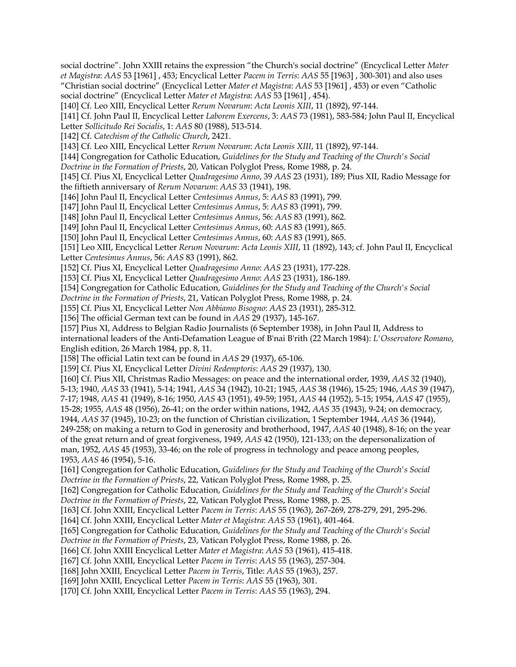social doctrine". John XXIII retains the expression "the Church's social doctrine" (Encyclical Letter *Mater et Magistra*: *AAS* 53 [1961] , 453; Encyclical Letter *Pacem in Terris*: *AAS* 55 [1963] , 300-301) and also uses "Christian social doctrine" (Encyclical Letter *Mater et Magistra*: *AAS* 53 [1961] , 453) or even "Catholic social doctrine" (Encyclical Letter *Mater et Magistra*: *AAS* 53 [1961] , 454).

[140] Cf. Leo XIII, Encyclical Letter *Rerum Novarum*: *Acta Leonis XIII*, 11 (1892), 97-144.

[141] Cf. John Paul II, Encyclical Letter *Laborem Exercens*, 3: *AAS* 73 (1981), 583-584; John Paul II, Encyclical Letter *Sollicitudo Rei Socialis*, 1: *AAS* 80 (1988), 513-514.

[142] Cf. *Catechism of the Catholic Church*, 2421.

[143] Cf. Leo XIII, Encyclical Letter *Rerum Novarum*: *Acta Leonis XIII*, 11 (1892), 97-144.

[144] Congregation for Catholic Education, *Guidelines for the Study and Teaching of the Church's Social* 

*Doctrine in the Formation of Priests*, 20, Vatican Polyglot Press, Rome 1988, p. 24.

[145] Cf. Pius XI, Encyclical Letter *Quadragesimo Anno*, 39 *AAS* 23 (1931), 189; Pius XII, Radio Message for the fiftieth anniversary of *Rerum Novarum*: *AAS* 33 (1941), 198.

[146] John Paul II, Encyclical Letter *Centesimus Annus*, 5: *AAS* 83 (1991), 799.

[147] John Paul II, Encyclical Letter *Centesimus Annus*, 5: *AAS* 83 (1991), 799.

[148] John Paul II, Encyclical Letter *Centesimus Annus*, 56: *AAS* 83 (1991), 862.

[149] John Paul II, Encyclical Letter *Centesimus Annus*, 60: *AAS* 83 (1991), 865.

[150] John Paul II, Encyclical Letter *Centesimus Annus*, 60: *AAS* 83 (1991), 865.

[151] Leo XIII, Encyclical Letter *Rerum Novarum*: *Acta Leonis XIII*, 11 (1892), 143; cf. John Paul II, Encyclical Letter *Centesimus Annus*, 56: *AAS* 83 (1991), 862.

[152] Cf. Pius XI, Encyclical Letter *Quadragesimo Anno*: *AAS* 23 (1931), 177-228.

[153] Cf. Pius XI, Encyclical Letter *Quadragesimo Anno*: *AAS* 23 (1931), 186-189.

[154] Congregation for Catholic Education, *Guidelines for the Study and Teaching of the Church's Social* 

*Doctrine in the Formation of Priests*, 21, Vatican Polyglot Press, Rome 1988, p. 24.

[155] Cf. Pius XI, Encyclical Letter *Non Abbiamo Bisogno*: *AAS* 23 (1931), 285-312.

[156] The official German text can be found in *AAS* 29 (1937), 145-167.

[157] Pius XI, Address to Belgian Radio Journalists (6 September 1938), in John Paul II, Address to international leaders of the Anti-Defamation League of B'nai B'rith (22 March 1984): *L'Osservatore Romano*, English edition, 26 March 1984, pp. 8, 11.

[158] The official Latin text can be found in *AAS* 29 (1937), 65-106.

[159] Cf. Pius XI, Encyclical Letter *Divini Redemptoris*: *AAS* 29 (1937), 130.

[160] Cf. Pius XII, Christmas Radio Messages: on peace and the international order, 1939, *AAS* 32 (1940), 5-13; 1940, *AAS* 33 (1941), 5-14; 1941, *AAS* 34 (1942), 10-21; 1945, *AAS* 38 (1946), 15-25; 1946, *AAS* 39 (1947), 7-17; 1948, *AAS* 41 (1949), 8-16; 1950, *AAS* 43 (1951), 49-59; 1951, *AAS* 44 (1952), 5-15; 1954, *AAS* 47 (1955), 15-28; 1955, *AAS* 48 (1956), 26-41; on the order within nations, 1942, *AAS* 35 (1943), 9-24; on democracy, 1944, *AAS* 37 (1945), 10-23; on the function of Christian civilization, 1 September 1944, *AAS* 36 (1944), 249-258; on making a return to God in generosity and brotherhood, 1947, *AAS* 40 (1948), 8-16; on the year of the great return and of great forgiveness, 1949, *AAS* 42 (1950), 121-133; on the depersonalization of man, 1952, *AAS* 45 (1953), 33-46; on the role of progress in technology and peace among peoples, 1953, *AAS* 46 (1954), 5-16.

[161] Congregation for Catholic Education, *Guidelines for the Study and Teaching of the Church's Social Doctrine in the Formation of Priests*, 22, Vatican Polyglot Press, Rome 1988, p. 25.

[162] Congregation for Catholic Education, *Guidelines for the Study and Teaching of the Church's Social Doctrine in the Formation of Priests*, 22, Vatican Polyglot Press, Rome 1988, p. 25.

[163] Cf. John XXIII, Encyclical Letter *Pacem in Terris*: *AAS* 55 (1963), 267-269, 278-279, 291, 295-296.

[164] Cf. John XXIII, Encyclical Letter *Mater et Magistra*: *AAS* 53 (1961), 401-464.

[165] Congregation for Catholic Education, *Guidelines for the Study and Teaching of the Church's Social* 

*Doctrine in the Formation of Priests*, 23, Vatican Polyglot Press, Rome 1988, p. 26.

[166] Cf. John XXIII Encyclical Letter *Mater et Magistra*: *AAS* 53 (1961), 415-418.

[167] Cf. John XXIII, Encyclical Letter *Pacem in Terris*: *AAS* 55 (1963), 257-304.

[168] John XXIII, Encyclical Letter *Pacem in Terris*, Title: *AAS* 55 (1963), 257.

[169] John XXIII, Encyclical Letter *Pacem in Terris*: *AAS* 55 (1963), 301.

[170] Cf. John XXIII, Encyclical Letter *Pacem in Terris*: *AAS* 55 (1963), 294.